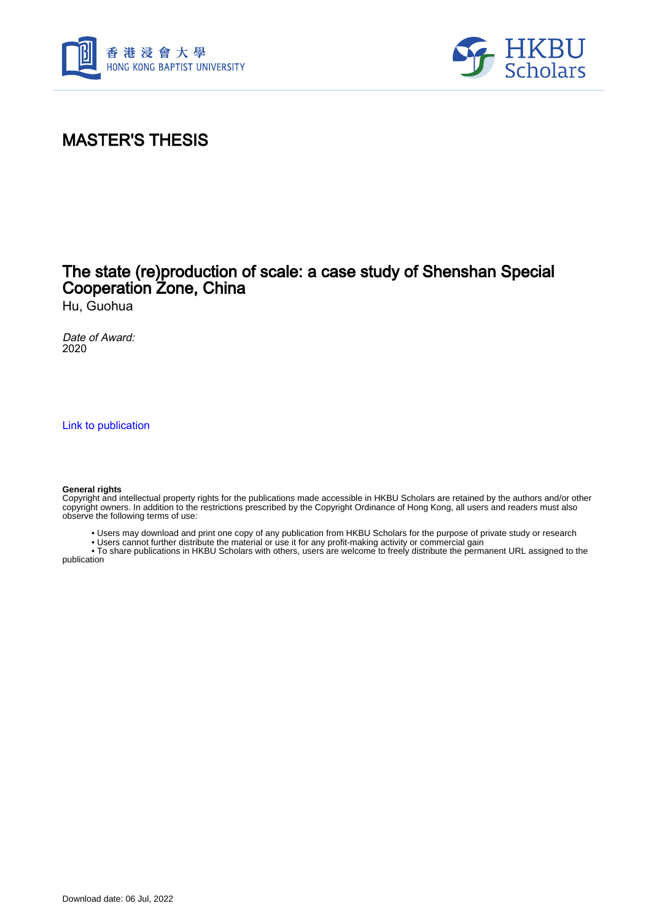



# MASTER'S THESIS

## The state (re)production of scale: a case study of Shenshan Special Cooperation Zone, China

Hu, Guohua

Date of Award: 2020

[Link to publication](https://scholars.hkbu.edu.hk/en/studentTheses/2b606f39-9a21-4350-9021-450546319661)

#### **General rights**

Copyright and intellectual property rights for the publications made accessible in HKBU Scholars are retained by the authors and/or other copyright owners. In addition to the restrictions prescribed by the Copyright Ordinance of Hong Kong, all users and readers must also observe the following terms of use:

• Users may download and print one copy of any publication from HKBU Scholars for the purpose of private study or research

• Users cannot further distribute the material or use it for any profit-making activity or commercial gain

 • To share publications in HKBU Scholars with others, users are welcome to freely distribute the permanent URL assigned to the publication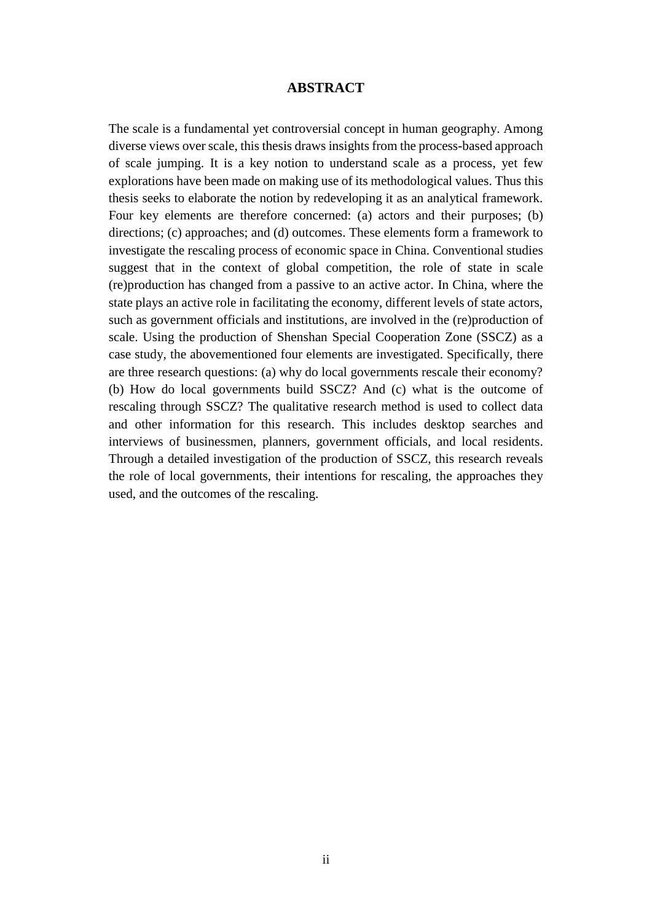### **ABSTRACT**

<span id="page-1-0"></span>The scale is a fundamental yet controversial concept in human geography. Among diverse views over scale, this thesis draws insights from the process-based approach of scale jumping. It is a key notion to understand scale as a process, yet few explorations have been made on making use of its methodological values. Thus this thesis seeks to elaborate the notion by redeveloping it as an analytical framework. Four key elements are therefore concerned: (a) actors and their purposes; (b) directions; (c) approaches; and (d) outcomes. These elements form a framework to investigate the rescaling process of economic space in China. Conventional studies suggest that in the context of global competition, the role of state in scale (re)production has changed from a passive to an active actor. In China, where the state plays an active role in facilitating the economy, different levels of state actors, such as government officials and institutions, are involved in the (re)production of scale. Using the production of Shenshan Special Cooperation Zone (SSCZ) as a case study, the abovementioned four elements are investigated. Specifically, there are three research questions: (a) why do local governments rescale their economy? (b) How do local governments build SSCZ? And (c) what is the outcome of rescaling through SSCZ? The qualitative research method is used to collect data and other information for this research. This includes desktop searches and interviews of businessmen, planners, government officials, and local residents. Through a detailed investigation of the production of SSCZ, this research reveals the role of local governments, their intentions for rescaling, the approaches they used, and the outcomes of the rescaling.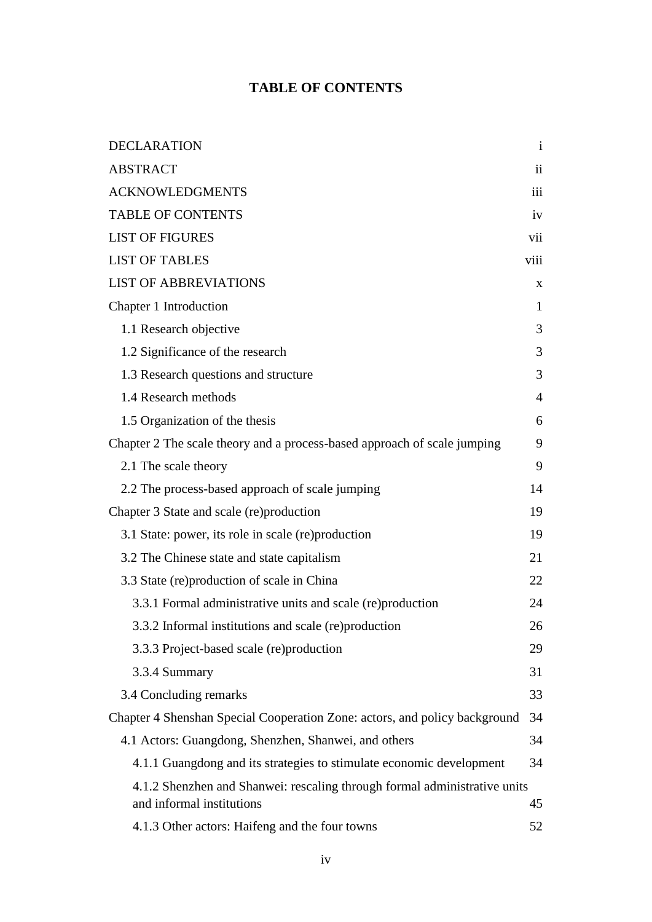### **TABLE OF CONTENTS**

<span id="page-2-0"></span>

| <b>DECLARATION</b>                                                                                     | $\mathbf{i}$   |
|--------------------------------------------------------------------------------------------------------|----------------|
| <b>ABSTRACT</b>                                                                                        | $\ddot{\rm n}$ |
| <b>ACKNOWLEDGMENTS</b>                                                                                 | iii            |
| <b>TABLE OF CONTENTS</b>                                                                               | iv             |
| <b>LIST OF FIGURES</b>                                                                                 | vii            |
| <b>LIST OF TABLES</b>                                                                                  | viii           |
| <b>LIST OF ABBREVIATIONS</b>                                                                           | X              |
| Chapter 1 Introduction                                                                                 | $\mathbf{1}$   |
| 1.1 Research objective                                                                                 | 3              |
| 1.2 Significance of the research                                                                       | 3              |
| 1.3 Research questions and structure                                                                   | 3              |
| 1.4 Research methods                                                                                   | $\overline{4}$ |
| 1.5 Organization of the thesis                                                                         | 6              |
| Chapter 2 The scale theory and a process-based approach of scale jumping                               | 9              |
| 2.1 The scale theory                                                                                   | 9              |
| 2.2 The process-based approach of scale jumping                                                        | 14             |
| Chapter 3 State and scale (re)production                                                               | 19             |
| 3.1 State: power, its role in scale (re) production                                                    | 19             |
| 3.2 The Chinese state and state capitalism                                                             | 21             |
| 3.3 State (re)production of scale in China                                                             | 22             |
| 3.3.1 Formal administrative units and scale (re)production                                             | 24             |
| 3.3.2 Informal institutions and scale (re)production                                                   | 26             |
| 3.3.3 Project-based scale (re)production                                                               | 29             |
| 3.3.4 Summary                                                                                          | 31             |
| 3.4 Concluding remarks                                                                                 | 33             |
| Chapter 4 Shenshan Special Cooperation Zone: actors, and policy background                             | 34             |
| 4.1 Actors: Guangdong, Shenzhen, Shanwei, and others                                                   | 34             |
| 4.1.1 Guangdong and its strategies to stimulate economic development                                   | 34             |
| 4.1.2 Shenzhen and Shanwei: rescaling through formal administrative units<br>and informal institutions | 45             |
| 4.1.3 Other actors: Haifeng and the four towns                                                         | 52             |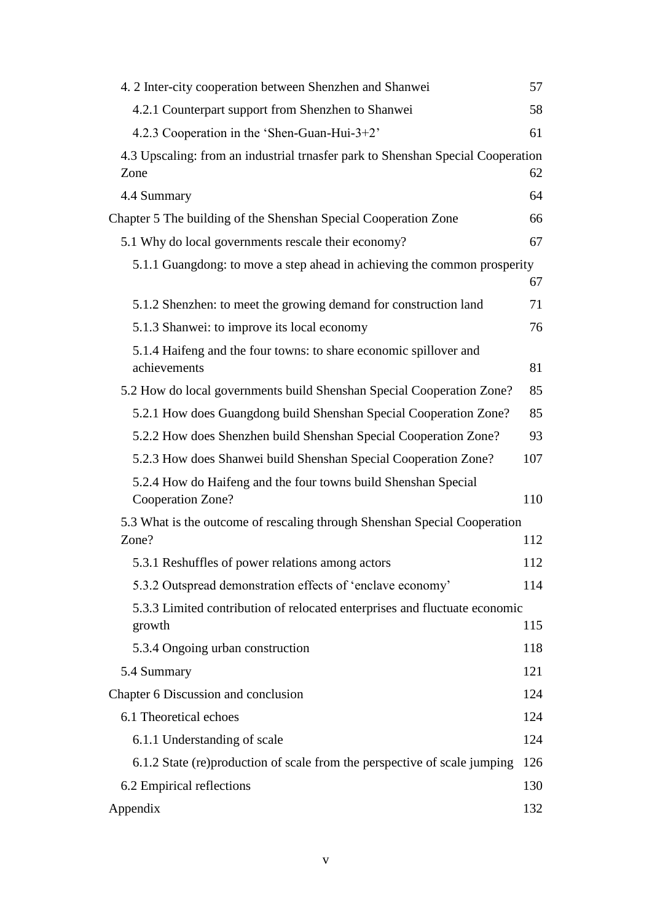| 4. 2 Inter-city cooperation between Shenzhen and Shanwei                                | 57  |
|-----------------------------------------------------------------------------------------|-----|
| 4.2.1 Counterpart support from Shenzhen to Shanwei                                      | 58  |
| 4.2.3 Cooperation in the 'Shen-Guan-Hui-3+2'                                            | 61  |
| 4.3 Upscaling: from an industrial trnasfer park to Shenshan Special Cooperation<br>Zone | 62  |
| 4.4 Summary                                                                             | 64  |
| Chapter 5 The building of the Shenshan Special Cooperation Zone                         | 66  |
| 5.1 Why do local governments rescale their economy?                                     | 67  |
| 5.1.1 Guangdong: to move a step ahead in achieving the common prosperity                | 67  |
| 5.1.2 Shenzhen: to meet the growing demand for construction land                        | 71  |
| 5.1.3 Shanwei: to improve its local economy                                             | 76  |
| 5.1.4 Haifeng and the four towns: to share economic spillover and<br>achievements       | 81  |
| 5.2 How do local governments build Shenshan Special Cooperation Zone?                   | 85  |
| 5.2.1 How does Guangdong build Shenshan Special Cooperation Zone?                       | 85  |
| 5.2.2 How does Shenzhen build Shenshan Special Cooperation Zone?                        | 93  |
| 5.2.3 How does Shanwei build Shenshan Special Cooperation Zone?                         | 107 |
| 5.2.4 How do Haifeng and the four towns build Shenshan Special<br>Cooperation Zone?     | 110 |
| 5.3 What is the outcome of rescaling through Shenshan Special Cooperation<br>Zone?      | 112 |
| 5.3.1 Reshuffles of power relations among actors                                        | 112 |
| 5.3.2 Outspread demonstration effects of 'enclave economy'                              | 114 |
| 5.3.3 Limited contribution of relocated enterprises and fluctuate economic<br>growth    | 115 |
| 5.3.4 Ongoing urban construction                                                        | 118 |
| 5.4 Summary                                                                             | 121 |
| Chapter 6 Discussion and conclusion                                                     | 124 |
| 6.1 Theoretical echoes                                                                  | 124 |
| 6.1.1 Understanding of scale                                                            | 124 |
| 6.1.2 State (re) production of scale from the perspective of scale jumping              | 126 |
| 6.2 Empirical reflections                                                               | 130 |
| Appendix                                                                                | 132 |